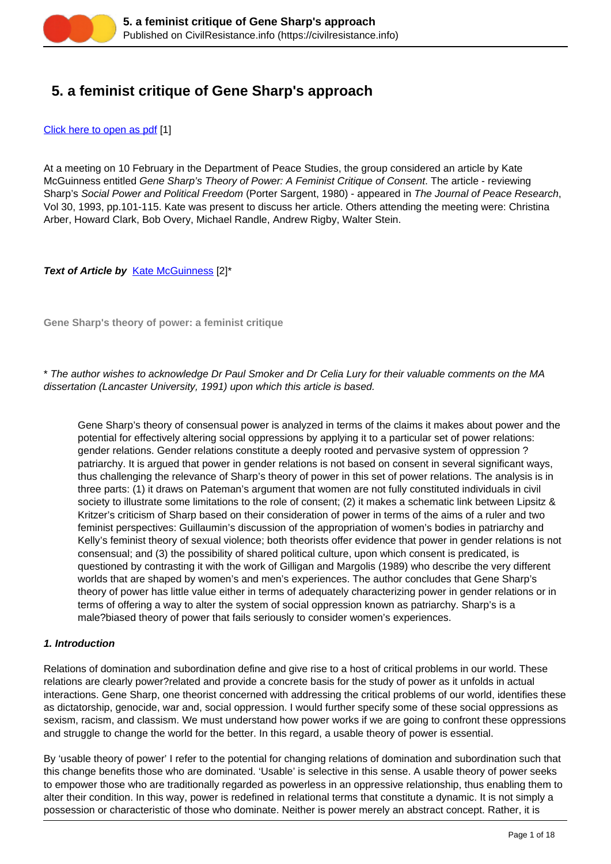

# **5. a feminist critique of Gene Sharp's approach**

[Click here to open as pdf](https://civilresistance.info/sites/default/files/5-feministpower.pdf) [1]

At a meeting on 10 February in the Department of Peace Studies, the group considered an article by Kate McGuinness entitled Gene Sharp's Theory of Power: A Feminist Critique of Consent. The article - reviewing Sharp's Social Power and Political Freedom (Porter Sargent, 1980) - appeared in The Journal of Peace Research, Vol 30, 1993, pp.101-115. Kate was present to discuss her article. Others attending the meeting were: Christina Arber, Howard Clark, Bob Overy, Michael Randle, Andrew Rigby, Walter Stein.

#### Text of Article by **[Kate McGuinness](https://civilresistance.info/challenge/preface#Kate)** [2]\*

**Gene Sharp's theory of power: a feminist critique**

\* The author wishes to acknowledge Dr Paul Smoker and Dr Celia Lury for their valuable comments on the MA dissertation (Lancaster University, 1991) upon which this article is based.

Gene Sharp's theory of consensual power is analyzed in terms of the claims it makes about power and the potential for effectively altering social oppressions by applying it to a particular set of power relations: gender relations. Gender relations constitute a deeply rooted and pervasive system of oppression ? patriarchy. It is argued that power in gender relations is not based on consent in several significant ways, thus challenging the relevance of Sharp's theory of power in this set of power relations. The analysis is in three parts: (1) it draws on Pateman's argument that women are not fully constituted individuals in civil society to illustrate some limitations to the role of consent; (2) it makes a schematic link between Lipsitz & Kritzer's criticism of Sharp based on their consideration of power in terms of the aims of a ruler and two feminist perspectives: Guillaumin's discussion of the appropriation of women's bodies in patriarchy and Kelly's feminist theory of sexual violence; both theorists offer evidence that power in gender relations is not consensual; and (3) the possibility of shared political culture, upon which consent is predicated, is questioned by contrasting it with the work of Gilligan and Margolis (1989) who describe the very different worlds that are shaped by women's and men's experiences. The author concludes that Gene Sharp's theory of power has little value either in terms of adequately characterizing power in gender relations or in terms of offering a way to alter the system of social oppression known as patriarchy. Sharp's is a male?biased theory of power that fails seriously to consider women's experiences.

#### **1. Introduction**

Relations of domination and subordination define and give rise to a host of critical problems in our world. These relations are clearly power?related and provide a concrete basis for the study of power as it unfolds in actual interactions. Gene Sharp, one theorist concerned with addressing the critical problems of our world, identifies these as dictatorship, genocide, war and, social oppression. I would further specify some of these social oppressions as sexism, racism, and classism. We must understand how power works if we are going to confront these oppressions and struggle to change the world for the better. In this regard, a usable theory of power is essential.

By 'usable theory of power' I refer to the potential for changing relations of domination and subordination such that this change benefits those who are dominated. 'Usable' is selective in this sense. A usable theory of power seeks to empower those who are traditionally regarded as powerless in an oppressive relationship, thus enabling them to alter their condition. In this way, power is redefined in relational terms that constitute a dynamic. It is not simply a possession or characteristic of those who dominate. Neither is power merely an abstract concept. Rather, it is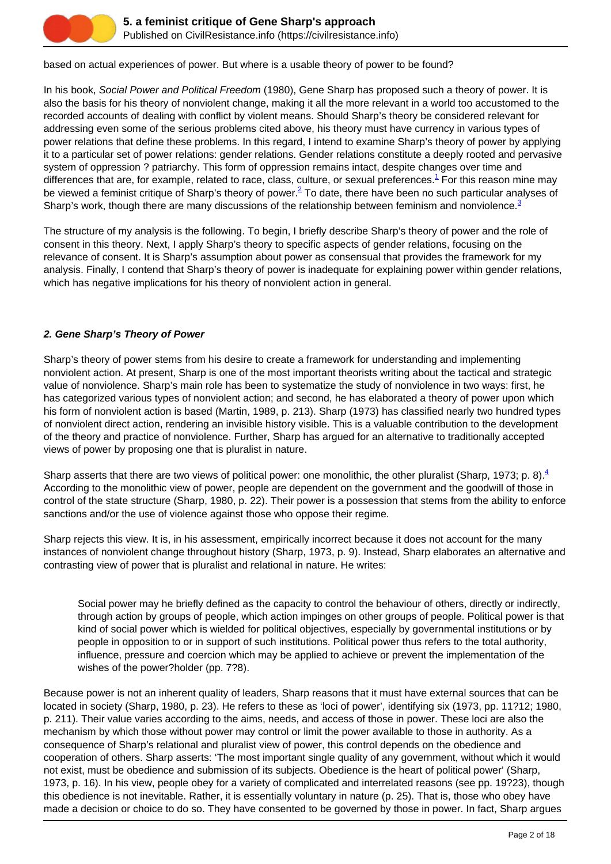

based on actual experiences of power. But where is a usable theory of power to be found?

In his book, Social Power and Political Freedom (1980), Gene Sharp has proposed such a theory of power. It is also the basis for his theory of nonviolent change, making it all the more relevant in a world too accustomed to the recorded accounts of dealing with conflict by violent means. Should Sharp's theory be considered relevant for addressing even some of the serious problems cited above, his theory must have currency in various types of power relations that define these problems. In this regard, I intend to examine Sharp's theory of power by applying it to a particular set of power relations: gender relations. Gender relations constitute a deeply rooted and pervasive system of oppression ? patriarchy. This form of oppression remains intact, despite changes over time and differences that are, for example, related to race, class, culture, or sexual preferences.<sup>1</sup> For this reason mine may be viewed a feminist critique of Sharp's theory of power.<sup>2</sup> To date, there have been no such particular analyses of Sharp's work, though there are many discussions of the relationship between feminism and nonviolence.<sup>3</sup>

The structure of my analysis is the following. To begin, I briefly describe Sharp's theory of power and the role of consent in this theory. Next, I apply Sharp's theory to specific aspects of gender relations, focusing on the relevance of consent. It is Sharp's assumption about power as consensual that provides the framework for my analysis. Finally, I contend that Sharp's theory of power is inadequate for explaining power within gender relations, which has negative implications for his theory of nonviolent action in general.

# **2. Gene Sharp's Theory of Power**

Sharp's theory of power stems from his desire to create a framework for understanding and implementing nonviolent action. At present, Sharp is one of the most important theorists writing about the tactical and strategic value of nonviolence. Sharp's main role has been to systematize the study of nonviolence in two ways: first, he has categorized various types of nonviolent action; and second, he has elaborated a theory of power upon which his form of nonviolent action is based (Martin, 1989, p. 213). Sharp (1973) has classified nearly two hundred types of nonviolent direct action, rendering an invisible history visible. This is a valuable contribution to the development of the theory and practice of nonviolence. Further, Sharp has argued for an alternative to traditionally accepted views of power by proposing one that is pluralist in nature.

Sharp asserts that there are two views of political power: one monolithic, the other pluralist (Sharp, 1973; p. 8). $^4$ According to the monolithic view of power, people are dependent on the government and the goodwill of those in control of the state structure (Sharp, 1980, p. 22). Their power is a possession that stems from the ability to enforce sanctions and/or the use of violence against those who oppose their regime.

Sharp rejects this view. It is, in his assessment, empirically incorrect because it does not account for the many instances of nonviolent change throughout history (Sharp, 1973, p. 9). Instead, Sharp elaborates an alternative and contrasting view of power that is pluralist and relational in nature. He writes:

Social power may he briefly defined as the capacity to control the behaviour of others, directly or indirectly, through action by groups of people, which action impinges on other groups of people. Political power is that kind of social power which is wielded for political objectives, especially by governmental institutions or by people in opposition to or in support of such institutions. Political power thus refers to the total authority, influence, pressure and coercion which may be applied to achieve or prevent the implementation of the wishes of the power?holder (pp. 7?8).

Because power is not an inherent quality of leaders, Sharp reasons that it must have external sources that can be located in society (Sharp, 1980, p. 23). He refers to these as 'loci of power', identifying six (1973, pp. 11?12; 1980, p. 211). Their value varies according to the aims, needs, and access of those in power. These loci are also the mechanism by which those without power may control or limit the power available to those in authority. As a consequence of Sharp's relational and pluralist view of power, this control depends on the obedience and cooperation of others. Sharp asserts: 'The most important single quality of any government, without which it would not exist, must be obedience and submission of its subjects. Obedience is the heart of political power' (Sharp, 1973, p. 16). In his view, people obey for a variety of complicated and interrelated reasons (see pp. 19?23), though this obedience is not inevitable. Rather, it is essentially voluntary in nature (p. 25). That is, those who obey have made a decision or choice to do so. They have consented to be governed by those in power. In fact, Sharp argues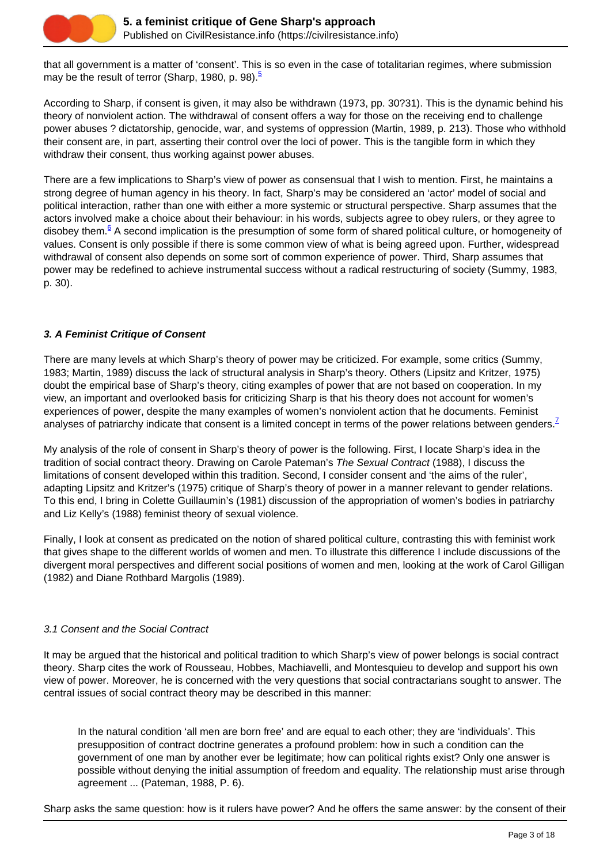

that all government is a matter of 'consent'. This is so even in the case of totalitarian regimes, where submission may be the result of terror (Sharp, 1980, p. 98) $\frac{5}{2}$ 

According to Sharp, if consent is given, it may also be withdrawn (1973, pp. 30?31). This is the dynamic behind his theory of nonviolent action. The withdrawal of consent offers a way for those on the receiving end to challenge power abuses ? dictatorship, genocide, war, and systems of oppression (Martin, 1989, p. 213). Those who withhold their consent are, in part, asserting their control over the loci of power. This is the tangible form in which they withdraw their consent, thus working against power abuses.

There are a few implications to Sharp's view of power as consensual that I wish to mention. First, he maintains a strong degree of human agency in his theory. In fact, Sharp's may be considered an 'actor' model of social and political interaction, rather than one with either a more systemic or structural perspective. Sharp assumes that the actors involved make a choice about their behaviour: in his words, subjects agree to obey rulers, or they agree to disobey them.<sup>6</sup> A second implication is the presumption of some form of shared political culture, or homogeneity of values. Consent is only possible if there is some common view of what is being agreed upon. Further, widespread withdrawal of consent also depends on some sort of common experience of power. Third, Sharp assumes that power may be redefined to achieve instrumental success without a radical restructuring of society (Summy, 1983, p. 30).

# **3. A Feminist Critique of Consent**

There are many levels at which Sharp's theory of power may be criticized. For example, some critics (Summy, 1983; Martin, 1989) discuss the lack of structural analysis in Sharp's theory. Others (Lipsitz and Kritzer, 1975) doubt the empirical base of Sharp's theory, citing examples of power that are not based on cooperation. In my view, an important and overlooked basis for criticizing Sharp is that his theory does not account for women's experiences of power, despite the many examples of women's nonviolent action that he documents. Feminist analyses of patriarchy indicate that consent is a limited concept in terms of the power relations between genders. $^{7}$ 

My analysis of the role of consent in Sharp's theory of power is the following. First, I locate Sharp's idea in the tradition of social contract theory. Drawing on Carole Pateman's The Sexual Contract (1988), I discuss the limitations of consent developed within this tradition. Second, I consider consent and 'the aims of the ruler', adapting Lipsitz and Kritzer's (1975) critique of Sharp's theory of power in a manner relevant to gender relations. To this end, I bring in Colette Guillaumin's (1981) discussion of the appropriation of women's bodies in patriarchy and Liz Kelly's (1988) feminist theory of sexual violence.

Finally, I look at consent as predicated on the notion of shared political culture, contrasting this with feminist work that gives shape to the different worlds of women and men. To illustrate this difference I include discussions of the divergent moral perspectives and different social positions of women and men, looking at the work of Carol Gilligan (1982) and Diane Rothbard Margolis (1989).

## 3.1 Consent and the Social Contract

It may be argued that the historical and political tradition to which Sharp's view of power belongs is social contract theory. Sharp cites the work of Rousseau, Hobbes, Machiavelli, and Montesquieu to develop and support his own view of power. Moreover, he is concerned with the very questions that social contractarians sought to answer. The central issues of social contract theory may be described in this manner:

In the natural condition 'all men are born free' and are equal to each other; they are 'individuals'. This presupposition of contract doctrine generates a profound problem: how in such a condition can the government of one man by another ever be legitimate; how can political rights exist? Only one answer is possible without denying the initial assumption of freedom and equality. The relationship must arise through agreement ... (Pateman, 1988, P. 6).

Sharp asks the same question: how is it rulers have power? And he offers the same answer: by the consent of their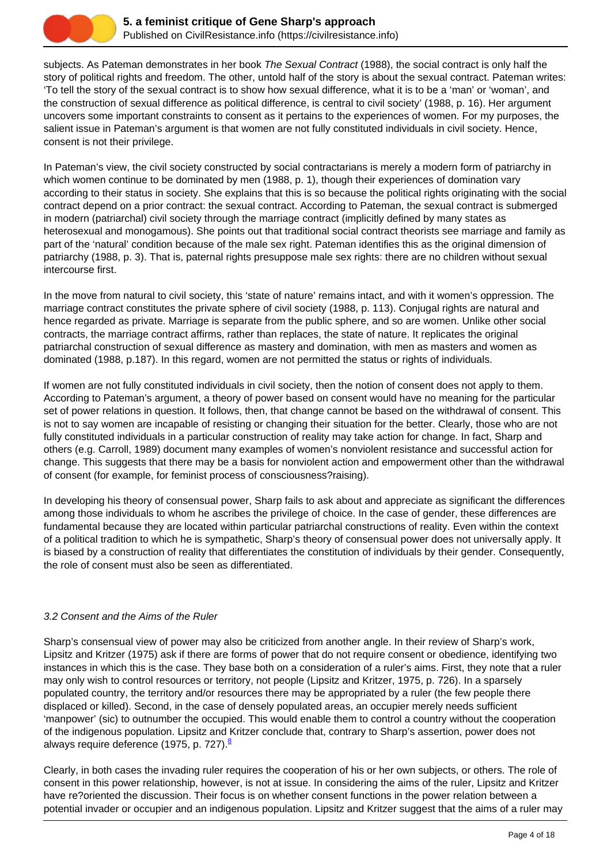

subjects. As Pateman demonstrates in her book The Sexual Contract (1988), the social contract is only half the story of political rights and freedom. The other, untold half of the story is about the sexual contract. Pateman writes: 'To tell the story of the sexual contract is to show how sexual difference, what it is to be a 'man' or 'woman', and the construction of sexual difference as political difference, is central to civil society' (1988, p. 16). Her argument uncovers some important constraints to consent as it pertains to the experiences of women. For my purposes, the salient issue in Pateman's argument is that women are not fully constituted individuals in civil society. Hence, consent is not their privilege.

In Pateman's view, the civil society constructed by social contractarians is merely a modern form of patriarchy in which women continue to be dominated by men (1988, p. 1), though their experiences of domination vary according to their status in society. She explains that this is so because the political rights originating with the social contract depend on a prior contract: the sexual contract. According to Pateman, the sexual contract is submerged in modern (patriarchal) civil society through the marriage contract (implicitly defined by many states as heterosexual and monogamous). She points out that traditional social contract theorists see marriage and family as part of the 'natural' condition because of the male sex right. Pateman identifies this as the original dimension of patriarchy (1988, p. 3). That is, paternal rights presuppose male sex rights: there are no children without sexual intercourse first.

In the move from natural to civil society, this 'state of nature' remains intact, and with it women's oppression. The marriage contract constitutes the private sphere of civil society (1988, p. 113). Conjugal rights are natural and hence regarded as private. Marriage is separate from the public sphere, and so are women. Unlike other social contracts, the marriage contract affirms, rather than replaces, the state of nature. It replicates the original patriarchal construction of sexual difference as mastery and domination, with men as masters and women as dominated (1988, p.187). In this regard, women are not permitted the status or rights of individuals.

If women are not fully constituted individuals in civil society, then the notion of consent does not apply to them. According to Pateman's argument, a theory of power based on consent would have no meaning for the particular set of power relations in question. It follows, then, that change cannot be based on the withdrawal of consent. This is not to say women are incapable of resisting or changing their situation for the better. Clearly, those who are not fully constituted individuals in a particular construction of reality may take action for change. In fact, Sharp and others (e.g. Carroll, 1989) document many examples of women's nonviolent resistance and successful action for change. This suggests that there may be a basis for nonviolent action and empowerment other than the withdrawal of consent (for example, for feminist process of consciousness?raising).

In developing his theory of consensual power, Sharp fails to ask about and appreciate as significant the differences among those individuals to whom he ascribes the privilege of choice. In the case of gender, these differences are fundamental because they are located within particular patriarchal constructions of reality. Even within the context of a political tradition to which he is sympathetic, Sharp's theory of consensual power does not universally apply. It is biased by a construction of reality that differentiates the constitution of individuals by their gender. Consequently, the role of consent must also be seen as differentiated.

## 3.2 Consent and the Aims of the Ruler

Sharp's consensual view of power may also be criticized from another angle. In their review of Sharp's work, Lipsitz and Kritzer (1975) ask if there are forms of power that do not require consent or obedience, identifying two instances in which this is the case. They base both on a consideration of a ruler's aims. First, they note that a ruler may only wish to control resources or territory, not people (Lipsitz and Kritzer, 1975, p. 726). In a sparsely populated country, the territory and/or resources there may be appropriated by a ruler (the few people there displaced or killed). Second, in the case of densely populated areas, an occupier merely needs sufficient 'manpower' (sic) to outnumber the occupied. This would enable them to control a country without the cooperation of the indigenous population. Lipsitz and Kritzer conclude that, contrary to Sharp's assertion, power does not always require deference (1975, p. 727) $8$ 

Clearly, in both cases the invading ruler requires the cooperation of his or her own subjects, or others. The role of consent in this power relationship, however, is not at issue. In considering the aims of the ruler, Lipsitz and Kritzer have re?oriented the discussion. Their focus is on whether consent functions in the power relation between a potential invader or occupier and an indigenous population. Lipsitz and Kritzer suggest that the aims of a ruler may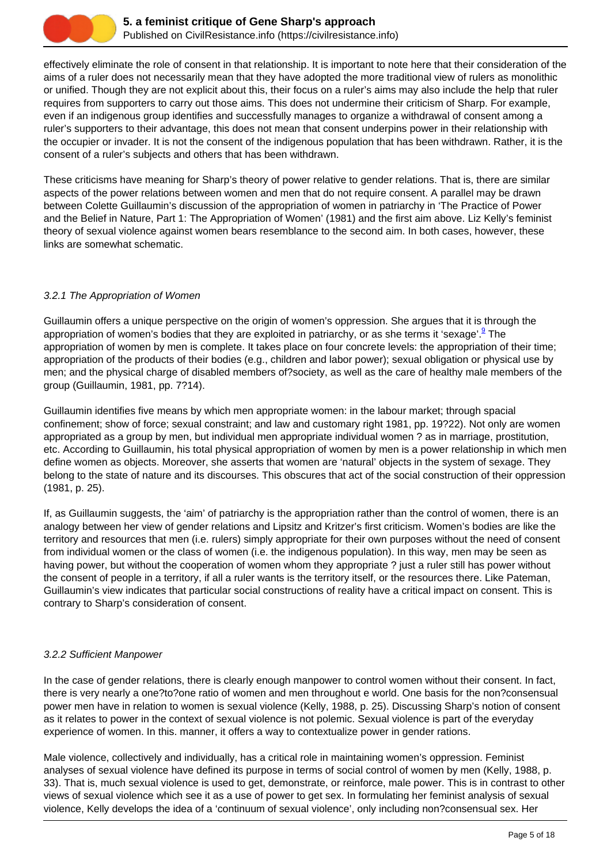

effectively eliminate the role of consent in that relationship. It is important to note here that their consideration of the aims of a ruler does not necessarily mean that they have adopted the more traditional view of rulers as monolithic or unified. Though they are not explicit about this, their focus on a ruler's aims may also include the help that ruler requires from supporters to carry out those aims. This does not undermine their criticism of Sharp. For example, even if an indigenous group identifies and successfully manages to organize a withdrawal of consent among a ruler's supporters to their advantage, this does not mean that consent underpins power in their relationship with the occupier or invader. It is not the consent of the indigenous population that has been withdrawn. Rather, it is the consent of a ruler's subjects and others that has been withdrawn.

These criticisms have meaning for Sharp's theory of power relative to gender relations. That is, there are similar aspects of the power relations between women and men that do not require consent. A parallel may be drawn between Colette Guillaumin's discussion of the appropriation of women in patriarchy in 'The Practice of Power and the Belief in Nature, Part 1: The Appropriation of Women' (1981) and the first aim above. Liz Kelly's feminist theory of sexual violence against women bears resemblance to the second aim. In both cases, however, these links are somewhat schematic.

# 3.2.1 The Appropriation of Women

Guillaumin offers a unique perspective on the origin of women's oppression. She argues that it is through the appropriation of women's bodies that they are exploited in patriarchy, or as she terms it 'sexage'.<sup>9</sup> The appropriation of women by men is complete. It takes place on four concrete levels: the appropriation of their time; appropriation of the products of their bodies (e.g., children and labor power); sexual obligation or physical use by men; and the physical charge of disabled members of?society, as well as the care of healthy male members of the group (Guillaumin, 1981, pp. 7?14).

Guillaumin identifies five means by which men appropriate women: in the labour market; through spacial confinement; show of force; sexual constraint; and law and customary right 1981, pp. 19?22). Not only are women appropriated as a group by men, but individual men appropriate individual women ? as in marriage, prostitution, etc. According to Guillaumin, his total physical appropriation of women by men is a power relationship in which men define women as objects. Moreover, she asserts that women are 'natural' objects in the system of sexage. They belong to the state of nature and its discourses. This obscures that act of the social construction of their oppression (1981, p. 25).

If, as Guillaumin suggests, the 'aim' of patriarchy is the appropriation rather than the control of women, there is an analogy between her view of gender relations and Lipsitz and Kritzer's first criticism. Women's bodies are like the territory and resources that men (i.e. rulers) simply appropriate for their own purposes without the need of consent from individual women or the class of women (i.e. the indigenous population). In this way, men may be seen as having power, but without the cooperation of women whom they appropriate ? just a ruler still has power without the consent of people in a territory, if all a ruler wants is the territory itself, or the resources there. Like Pateman, Guillaumin's view indicates that particular social constructions of reality have a critical impact on consent. This is contrary to Sharp's consideration of consent.

## 3.2.2 Sufficient Manpower

In the case of gender relations, there is clearly enough manpower to control women without their consent. In fact, there is very nearly a one?to?one ratio of women and men throughout e world. One basis for the non?consensual power men have in relation to women is sexual violence (Kelly, 1988, p. 25). Discussing Sharp's notion of consent as it relates to power in the context of sexual violence is not polemic. Sexual violence is part of the everyday experience of women. In this. manner, it offers a way to contextualize power in gender rations.

Male violence, collectively and individually, has a critical role in maintaining women's oppression. Feminist analyses of sexual violence have defined its purpose in terms of social control of women by men (Kelly, 1988, p. 33). That is, much sexual violence is used to get, demonstrate, or reinforce, male power. This is in contrast to other views of sexual violence which see it as a use of power to get sex. In formulating her feminist analysis of sexual violence, Kelly develops the idea of a 'continuum of sexual violence', only including non?consensual sex. Her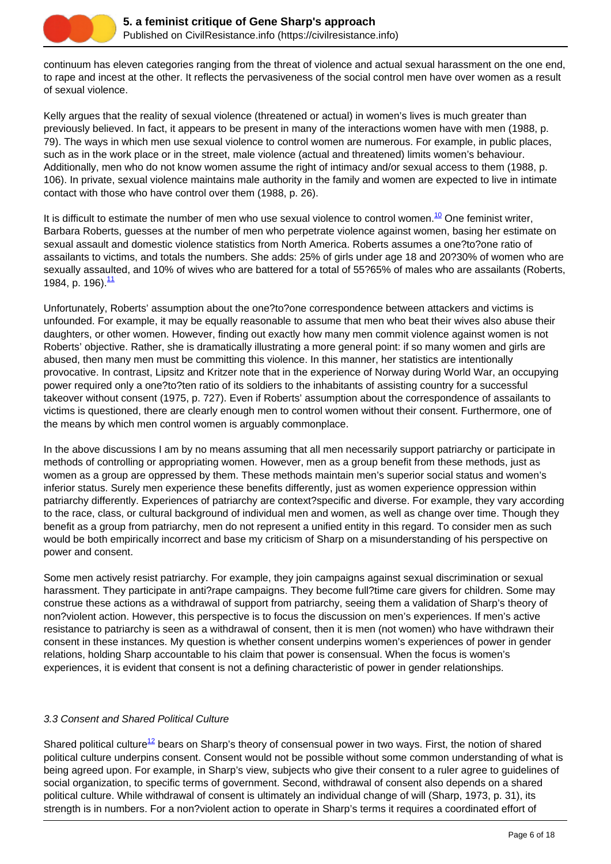

continuum has eleven categories ranging from the threat of violence and actual sexual harassment on the one end, to rape and incest at the other. It reflects the pervasiveness of the social control men have over women as a result of sexual violence.

Kelly argues that the reality of sexual violence (threatened or actual) in women's lives is much greater than previously believed. In fact, it appears to be present in many of the interactions women have with men (1988, p. 79). The ways in which men use sexual violence to control women are numerous. For example, in public places, such as in the work place or in the street, male violence (actual and threatened) limits women's behaviour. Additionally, men who do not know women assume the right of intimacy and/or sexual access to them (1988, p. 106). In private, sexual violence maintains male authority in the family and women are expected to live in intimate contact with those who have control over them (1988, p. 26).

It is difficult to estimate the number of men who use sexual violence to control women.<sup>10</sup> One feminist writer, Barbara Roberts, guesses at the number of men who perpetrate violence against women, basing her estimate on sexual assault and domestic violence statistics from North America. Roberts assumes a one?to?one ratio of assailants to victims, and totals the numbers. She adds: 25% of girls under age 18 and 20?30% of women who are sexually assaulted, and 10% of wives who are battered for a total of 55?65% of males who are assailants (Roberts, 1984, p. 196).<sup>11</sup>

Unfortunately, Roberts' assumption about the one?to?one correspondence between attackers and victims is unfounded. For example, it may be equally reasonable to assume that men who beat their wives also abuse their daughters, or other women. However, finding out exactly how many men commit violence against women is not Roberts' objective. Rather, she is dramatically illustrating a more general point: if so many women and girls are abused, then many men must be committing this violence. In this manner, her statistics are intentionally provocative. In contrast, Lipsitz and Kritzer note that in the experience of Norway during World War, an occupying power required only a one?to?ten ratio of its soldiers to the inhabitants of assisting country for a successful takeover without consent (1975, p. 727). Even if Roberts' assumption about the correspondence of assailants to victims is questioned, there are clearly enough men to control women without their consent. Furthermore, one of the means by which men control women is arguably commonplace.

In the above discussions I am by no means assuming that all men necessarily support patriarchy or participate in methods of controlling or appropriating women. However, men as a group benefit from these methods, just as women as a group are oppressed by them. These methods maintain men's superior social status and women's inferior status. Surely men experience these benefits differently, just as women experience oppression within patriarchy differently. Experiences of patriarchy are context?specific and diverse. For example, they vary according to the race, class, or cultural background of individual men and women, as well as change over time. Though they benefit as a group from patriarchy, men do not represent a unified entity in this regard. To consider men as such would be both empirically incorrect and base my criticism of Sharp on a misunderstanding of his perspective on power and consent.

Some men actively resist patriarchy. For example, they join campaigns against sexual discrimination or sexual harassment. They participate in anti?rape campaigns. They become full?time care givers for children. Some may construe these actions as a withdrawal of support from patriarchy, seeing them a validation of Sharp's theory of non?violent action. However, this perspective is to focus the discussion on men's experiences. If men's active resistance to patriarchy is seen as a withdrawal of consent, then it is men (not women) who have withdrawn their consent in these instances. My question is whether consent underpins women's experiences of power in gender relations, holding Sharp accountable to his claim that power is consensual. When the focus is women's experiences, it is evident that consent is not a defining characteristic of power in gender relationships.

## 3.3 Consent and Shared Political Culture

Shared political culture<sup>12</sup> bears on Sharp's theory of consensual power in two ways. First, the notion of shared political culture underpins consent. Consent would not be possible without some common understanding of what is being agreed upon. For example, in Sharp's view, subjects who give their consent to a ruler agree to guidelines of social organization, to specific terms of government. Second, withdrawal of consent also depends on a shared political culture. While withdrawal of consent is ultimately an individual change of will (Sharp, 1973, p. 31), its strength is in numbers. For a non?violent action to operate in Sharp's terms it requires a coordinated effort of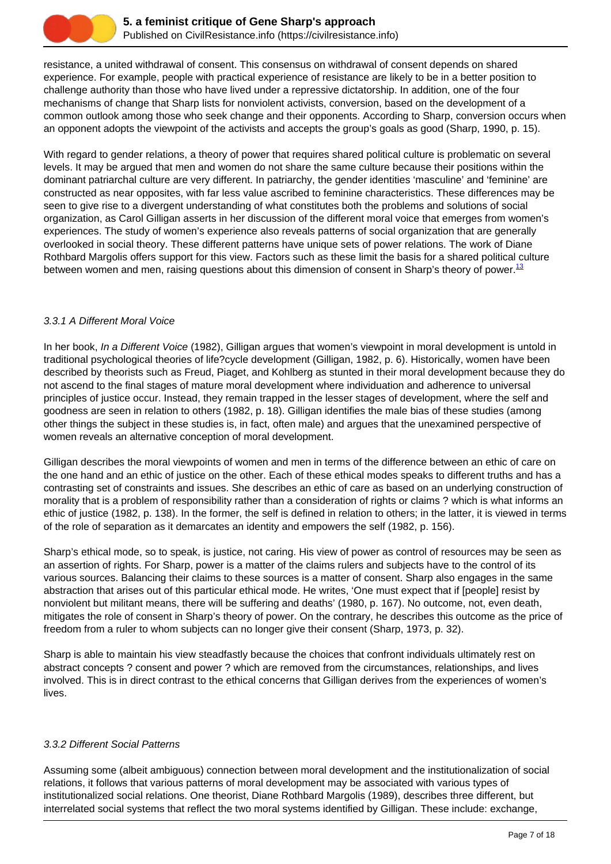

resistance, a united withdrawal of consent. This consensus on withdrawal of consent depends on shared experience. For example, people with practical experience of resistance are likely to be in a better position to challenge authority than those who have lived under a repressive dictatorship. In addition, one of the four mechanisms of change that Sharp lists for nonviolent activists, conversion, based on the development of a common outlook among those who seek change and their opponents. According to Sharp, conversion occurs when an opponent adopts the viewpoint of the activists and accepts the group's goals as good (Sharp, 1990, p. 15).

With regard to gender relations, a theory of power that requires shared political culture is problematic on several levels. It may be argued that men and women do not share the same culture because their positions within the dominant patriarchal culture are very different. In patriarchy, the gender identities 'masculine' and 'feminine' are constructed as near opposites, with far less value ascribed to feminine characteristics. These differences may be seen to give rise to a divergent understanding of what constitutes both the problems and solutions of social organization, as Carol Gilligan asserts in her discussion of the different moral voice that emerges from women's experiences. The study of women's experience also reveals patterns of social organization that are generally overlooked in social theory. These different patterns have unique sets of power relations. The work of Diane Rothbard Margolis offers support for this view. Factors such as these limit the basis for a shared political culture between women and men, raising questions about this dimension of consent in Sharp's theory of power.<sup>13</sup>

## 3.3.1 A Different Moral Voice

In her book, *In a Different Voice* (1982), Gilligan argues that women's viewpoint in moral development is untold in traditional psychological theories of life?cycle development (Gilligan, 1982, p. 6). Historically, women have been described by theorists such as Freud, Piaget, and Kohlberg as stunted in their moral development because they do not ascend to the final stages of mature moral development where individuation and adherence to universal principles of justice occur. Instead, they remain trapped in the lesser stages of development, where the self and goodness are seen in relation to others (1982, p. 18). Gilligan identifies the male bias of these studies (among other things the subject in these studies is, in fact, often male) and argues that the unexamined perspective of women reveals an alternative conception of moral development.

Gilligan describes the moral viewpoints of women and men in terms of the difference between an ethic of care on the one hand and an ethic of justice on the other. Each of these ethical modes speaks to different truths and has a contrasting set of constraints and issues. She describes an ethic of care as based on an underlying construction of morality that is a problem of responsibility rather than a consideration of rights or claims ? which is what informs an ethic of justice (1982, p. 138). In the former, the self is defined in relation to others; in the latter, it is viewed in terms of the role of separation as it demarcates an identity and empowers the self (1982, p. 156).

Sharp's ethical mode, so to speak, is justice, not caring. His view of power as control of resources may be seen as an assertion of rights. For Sharp, power is a matter of the claims rulers and subjects have to the control of its various sources. Balancing their claims to these sources is a matter of consent. Sharp also engages in the same abstraction that arises out of this particular ethical mode. He writes, 'One must expect that if [people] resist by nonviolent but militant means, there will be suffering and deaths' (1980, p. 167). No outcome, not, even death, mitigates the role of consent in Sharp's theory of power. On the contrary, he describes this outcome as the price of freedom from a ruler to whom subjects can no longer give their consent (Sharp, 1973, p. 32).

Sharp is able to maintain his view steadfastly because the choices that confront individuals ultimately rest on abstract concepts ? consent and power ? which are removed from the circumstances, relationships, and lives involved. This is in direct contrast to the ethical concerns that Gilligan derives from the experiences of women's lives.

## 3.3.2 Different Social Patterns

Assuming some (albeit ambiguous) connection between moral development and the institutionalization of social relations, it follows that various patterns of moral development may be associated with various types of institutionalized social relations. One theorist, Diane Rothbard Margolis (1989), describes three different, but interrelated social systems that reflect the two moral systems identified by Gilligan. These include: exchange,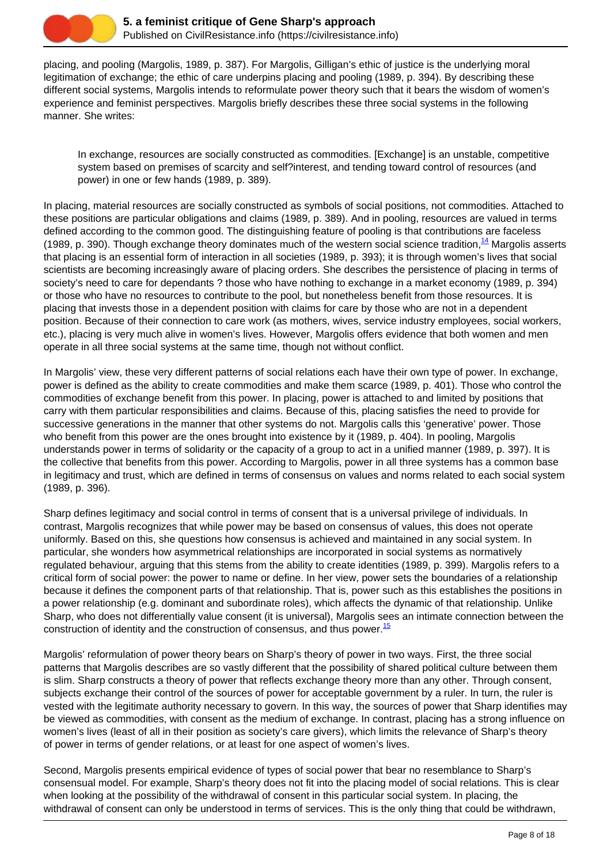

placing, and pooling (Margolis, 1989, p. 387). For Margolis, Gilligan's ethic of justice is the underlying moral legitimation of exchange; the ethic of care underpins placing and pooling (1989, p. 394). By describing these different social systems, Margolis intends to reformulate power theory such that it bears the wisdom of women's experience and feminist perspectives. Margolis briefly describes these three social systems in the following manner. She writes:

In exchange, resources are socially constructed as commodities. [Exchange] is an unstable, competitive system based on premises of scarcity and self?interest, and tending toward control of resources (and power) in one or few hands (1989, p. 389).

In placing, material resources are socially constructed as symbols of social positions, not commodities. Attached to these positions are particular obligations and claims (1989, p. 389). And in pooling, resources are valued in terms defined according to the common good. The distinguishing feature of pooling is that contributions are faceless (1989, p. 390). Though exchange theory dominates much of the western social science tradition,  $14$  Margolis asserts that placing is an essential form of interaction in all societies (1989, p. 393); it is through women's lives that social scientists are becoming increasingly aware of placing orders. She describes the persistence of placing in terms of society's need to care for dependants ? those who have nothing to exchange in a market economy (1989, p. 394) or those who have no resources to contribute to the pool, but nonetheless benefit from those resources. It is placing that invests those in a dependent position with claims for care by those who are not in a dependent position. Because of their connection to care work (as mothers, wives, service industry employees, social workers, etc.), placing is very much alive in women's lives. However, Margolis offers evidence that both women and men operate in all three social systems at the same time, though not without conflict.

In Margolis' view, these very different patterns of social relations each have their own type of power. In exchange, power is defined as the ability to create commodities and make them scarce (1989, p. 401). Those who control the commodities of exchange benefit from this power. In placing, power is attached to and limited by positions that carry with them particular responsibilities and claims. Because of this, placing satisfies the need to provide for successive generations in the manner that other systems do not. Margolis calls this 'generative' power. Those who benefit from this power are the ones brought into existence by it (1989, p. 404). In pooling, Margolis understands power in terms of solidarity or the capacity of a group to act in a unified manner (1989, p. 397). It is the collective that benefits from this power. According to Margolis, power in all three systems has a common base in legitimacy and trust, which are defined in terms of consensus on values and norms related to each social system (1989, p. 396).

Sharp defines legitimacy and social control in terms of consent that is a universal privilege of individuals. In contrast, Margolis recognizes that while power may be based on consensus of values, this does not operate uniformly. Based on this, she questions how consensus is achieved and maintained in any social system. In particular, she wonders how asymmetrical relationships are incorporated in social systems as normatively regulated behaviour, arguing that this stems from the ability to create identities (1989, p. 399). Margolis refers to a critical form of social power: the power to name or define. In her view, power sets the boundaries of a relationship because it defines the component parts of that relationship. That is, power such as this establishes the positions in a power relationship (e.g. dominant and subordinate roles), which affects the dynamic of that relationship. Unlike Sharp, who does not differentially value consent (it is universal), Margolis sees an intimate connection between the construction of identity and the construction of consensus, and thus power.  $\frac{15}{2}$ 

Margolis' reformulation of power theory bears on Sharp's theory of power in two ways. First, the three social patterns that Margolis describes are so vastly different that the possibility of shared political culture between them is slim. Sharp constructs a theory of power that reflects exchange theory more than any other. Through consent, subjects exchange their control of the sources of power for acceptable government by a ruler. In turn, the ruler is vested with the legitimate authority necessary to govern. In this way, the sources of power that Sharp identifies may be viewed as commodities, with consent as the medium of exchange. In contrast, placing has a strong influence on women's lives (least of all in their position as society's care givers), which limits the relevance of Sharp's theory of power in terms of gender relations, or at least for one aspect of women's lives.

Second, Margolis presents empirical evidence of types of social power that bear no resemblance to Sharp's consensual model. For example, Sharp's theory does not fit into the placing model of social relations. This is clear when looking at the possibility of the withdrawal of consent in this particular social system. In placing, the withdrawal of consent can only be understood in terms of services. This is the only thing that could be withdrawn,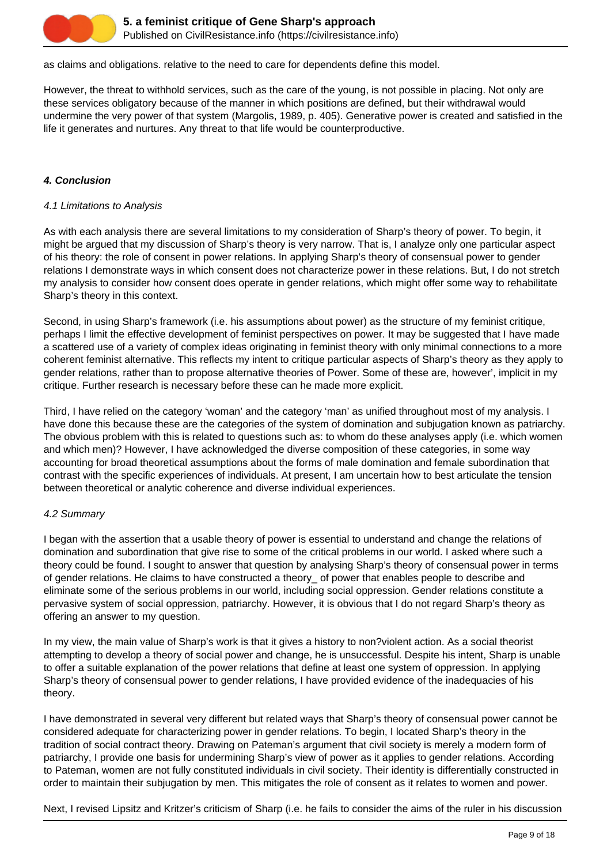

as claims and obligations. relative to the need to care for dependents define this model.

However, the threat to withhold services, such as the care of the young, is not possible in placing. Not only are these services obligatory because of the manner in which positions are defined, but their withdrawal would undermine the very power of that system (Margolis, 1989, p. 405). Generative power is created and satisfied in the life it generates and nurtures. Any threat to that life would be counterproductive.

## **4. Conclusion**

## 4.1 Limitations to Analysis

As with each analysis there are several limitations to my consideration of Sharp's theory of power. To begin, it might be argued that my discussion of Sharp's theory is very narrow. That is, I analyze only one particular aspect of his theory: the role of consent in power relations. In applying Sharp's theory of consensual power to gender relations I demonstrate ways in which consent does not characterize power in these relations. But, I do not stretch my analysis to consider how consent does operate in gender relations, which might offer some way to rehabilitate Sharp's theory in this context.

Second, in using Sharp's framework (i.e. his assumptions about power) as the structure of my feminist critique, perhaps I limit the effective development of feminist perspectives on power. It may be suggested that I have made a scattered use of a variety of complex ideas originating in feminist theory with only minimal connections to a more coherent feminist alternative. This reflects my intent to critique particular aspects of Sharp's theory as they apply to gender relations, rather than to propose alternative theories of Power. Some of these are, however', implicit in my critique. Further research is necessary before these can he made more explicit.

Third, I have relied on the category 'woman' and the category 'man' as unified throughout most of my analysis. I have done this because these are the categories of the system of domination and subjugation known as patriarchy. The obvious problem with this is related to questions such as: to whom do these analyses apply (i.e. which women and which men)? However, I have acknowledged the diverse composition of these categories, in some way accounting for broad theoretical assumptions about the forms of male domination and female subordination that contrast with the specific experiences of individuals. At present, I am uncertain how to best articulate the tension between theoretical or analytic coherence and diverse individual experiences.

## 4.2 Summary

I began with the assertion that a usable theory of power is essential to understand and change the relations of domination and subordination that give rise to some of the critical problems in our world. I asked where such a theory could be found. I sought to answer that question by analysing Sharp's theory of consensual power in terms of gender relations. He claims to have constructed a theory\_ of power that enables people to describe and eliminate some of the serious problems in our world, including social oppression. Gender relations constitute a pervasive system of social oppression, patriarchy. However, it is obvious that I do not regard Sharp's theory as offering an answer to my question.

In my view, the main value of Sharp's work is that it gives a history to non?violent action. As a social theorist attempting to develop a theory of social power and change, he is unsuccessful. Despite his intent, Sharp is unable to offer a suitable explanation of the power relations that define at least one system of oppression. In applying Sharp's theory of consensual power to gender relations, I have provided evidence of the inadequacies of his theory.

I have demonstrated in several very different but related ways that Sharp's theory of consensual power cannot be considered adequate for characterizing power in gender relations. To begin, I located Sharp's theory in the tradition of social contract theory. Drawing on Pateman's argument that civil society is merely a modern form of patriarchy, I provide one basis for undermining Sharp's view of power as it applies to gender relations. According to Pateman, women are not fully constituted individuals in civil society. Their identity is differentially constructed in order to maintain their subjugation by men. This mitigates the role of consent as it relates to women and power.

Next, I revised Lipsitz and Kritzer's criticism of Sharp (i.e. he fails to consider the aims of the ruler in his discussion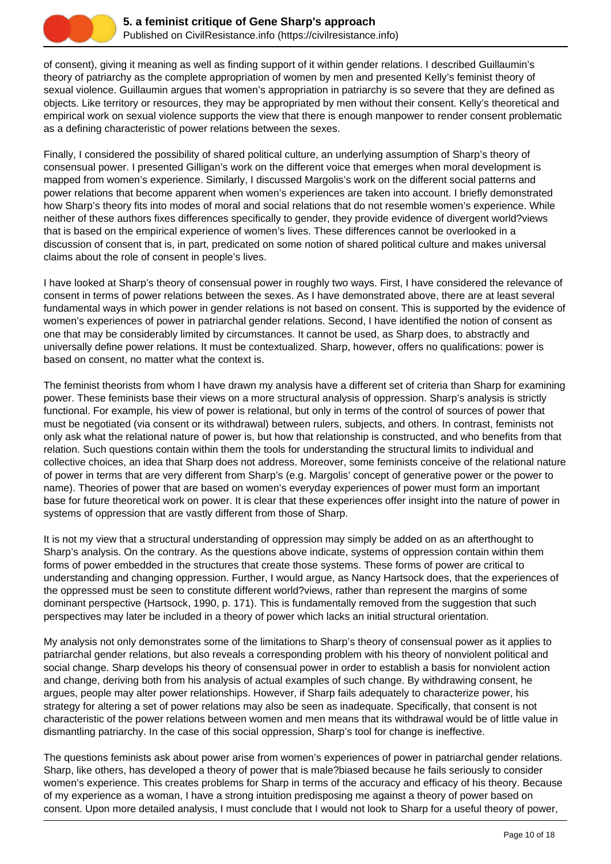

of consent), giving it meaning as well as finding support of it within gender relations. I described Guillaumin's theory of patriarchy as the complete appropriation of women by men and presented Kelly's feminist theory of sexual violence. Guillaumin argues that women's appropriation in patriarchy is so severe that they are defined as objects. Like territory or resources, they may be appropriated by men without their consent. Kelly's theoretical and empirical work on sexual violence supports the view that there is enough manpower to render consent problematic as a defining characteristic of power relations between the sexes.

Finally, I considered the possibility of shared political culture, an underlying assumption of Sharp's theory of consensual power. I presented Gilligan's work on the different voice that emerges when moral development is mapped from women's experience. Similarly, I discussed Margolis's work on the different social patterns and power relations that become apparent when women's experiences are taken into account. I briefly demonstrated how Sharp's theory fits into modes of moral and social relations that do not resemble women's experience. While neither of these authors fixes differences specifically to gender, they provide evidence of divergent world?views that is based on the empirical experience of women's lives. These differences cannot be overlooked in a discussion of consent that is, in part, predicated on some notion of shared political culture and makes universal claims about the role of consent in people's lives.

I have looked at Sharp's theory of consensual power in roughly two ways. First, I have considered the relevance of consent in terms of power relations between the sexes. As I have demonstrated above, there are at least several fundamental ways in which power in gender relations is not based on consent. This is supported by the evidence of women's experiences of power in patriarchal gender relations. Second, I have identified the notion of consent as one that may be considerably limited by circumstances. It cannot be used, as Sharp does, to abstractly and universally define power relations. It must be contextualized. Sharp, however, offers no qualifications: power is based on consent, no matter what the context is.

The feminist theorists from whom I have drawn my analysis have a different set of criteria than Sharp for examining power. These feminists base their views on a more structural analysis of oppression. Sharp's analysis is strictly functional. For example, his view of power is relational, but only in terms of the control of sources of power that must be negotiated (via consent or its withdrawal) between rulers, subjects, and others. In contrast, feminists not only ask what the relational nature of power is, but how that relationship is constructed, and who benefits from that relation. Such questions contain within them the tools for understanding the structural limits to individual and collective choices, an idea that Sharp does not address. Moreover, some feminists conceive of the relational nature of power in terms that are very different from Sharp's (e.g. Margolis' concept of generative power or the power to name). Theories of power that are based on women's everyday experiences of power must form an important base for future theoretical work on power. It is clear that these experiences offer insight into the nature of power in systems of oppression that are vastly different from those of Sharp.

It is not my view that a structural understanding of oppression may simply be added on as an afterthought to Sharp's analysis. On the contrary. As the questions above indicate, systems of oppression contain within them forms of power embedded in the structures that create those systems. These forms of power are critical to understanding and changing oppression. Further, I would argue, as Nancy Hartsock does, that the experiences of the oppressed must be seen to constitute different world?views, rather than represent the margins of some dominant perspective (Hartsock, 1990, p. 171). This is fundamentally removed from the suggestion that such perspectives may later be included in a theory of power which lacks an initial structural orientation.

My analysis not only demonstrates some of the limitations to Sharp's theory of consensual power as it applies to patriarchal gender relations, but also reveals a corresponding problem with his theory of nonviolent political and social change. Sharp develops his theory of consensual power in order to establish a basis for nonviolent action and change, deriving both from his analysis of actual examples of such change. By withdrawing consent, he argues, people may alter power relationships. However, if Sharp fails adequately to characterize power, his strategy for altering a set of power relations may also be seen as inadequate. Specifically, that consent is not characteristic of the power relations between women and men means that its withdrawal would be of little value in dismantling patriarchy. In the case of this social oppression, Sharp's tool for change is ineffective.

The questions feminists ask about power arise from women's experiences of power in patriarchal gender relations. Sharp, like others, has developed a theory of power that is male?biased because he fails seriously to consider women's experience. This creates problems for Sharp in terms of the accuracy and efficacy of his theory. Because of my experience as a woman, I have a strong intuition predisposing me against a theory of power based on consent. Upon more detailed analysis, I must conclude that I would not look to Sharp for a useful theory of power,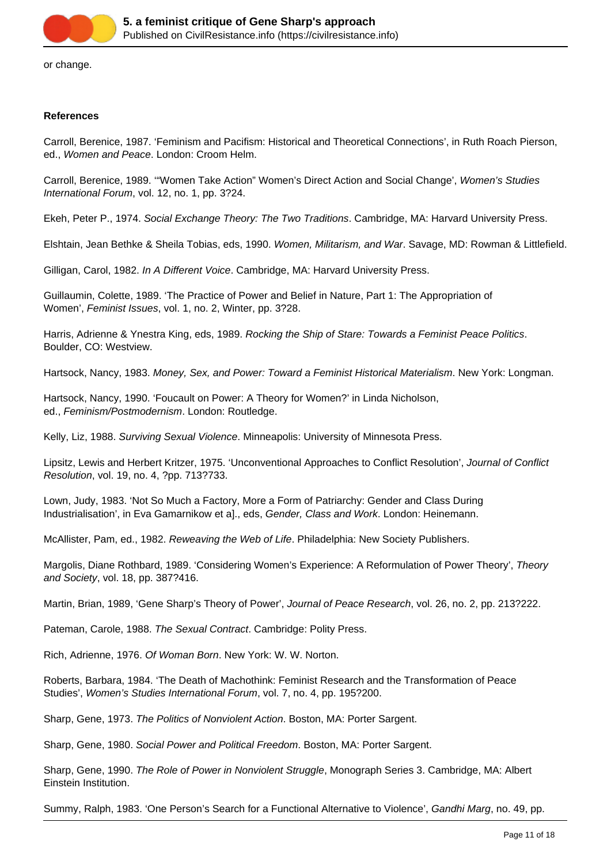

or change.

#### **References**

Carroll, Berenice, 1987. 'Feminism and Pacifism: Historical and Theoretical Connections', in Ruth Roach Pierson, ed., Women and Peace. London: Croom Helm.

Carroll, Berenice, 1989. '"Women Take Action" Women's Direct Action and Social Change', Women's Studies International Forum, vol. 12, no. 1, pp. 3?24.

Ekeh, Peter P., 1974. Social Exchange Theory: The Two Traditions. Cambridge, MA: Harvard University Press.

Elshtain, Jean Bethke & Sheila Tobias, eds, 1990. Women, Militarism, and War. Savage, MD: Rowman & Littlefield.

Gilligan, Carol, 1982. In A Different Voice. Cambridge, MA: Harvard University Press.

Guillaumin, Colette, 1989. 'The Practice of Power and Belief in Nature, Part 1: The Appropriation of Women', Feminist Issues, vol. 1, no. 2, Winter, pp. 3?28.

Harris, Adrienne & Ynestra King, eds, 1989. Rocking the Ship of Stare: Towards a Feminist Peace Politics. Boulder, CO: Westview.

Hartsock, Nancy, 1983. Money, Sex, and Power: Toward a Feminist Historical Materialism. New York: Longman.

Hartsock, Nancy, 1990. 'Foucault on Power: A Theory for Women?' in Linda Nicholson, ed., Feminism/Postmodernism. London: Routledge.

Kelly, Liz, 1988. Surviving Sexual Violence. Minneapolis: University of Minnesota Press.

Lipsitz, Lewis and Herbert Kritzer, 1975. 'Unconventional Approaches to Conflict Resolution', Journal of Conflict Resolution, vol. 19, no. 4, ?pp. 713?733.

Lown, Judy, 1983. 'Not So Much a Factory, More a Form of Patriarchy: Gender and Class During Industrialisation', in Eva Gamarnikow et a]., eds, Gender, Class and Work. London: Heinemann.

McAllister, Pam, ed., 1982. Reweaving the Web of Life. Philadelphia: New Society Publishers.

Margolis, Diane Rothbard, 1989. 'Considering Women's Experience: A Reformulation of Power Theory', Theory and Society, vol. 18, pp. 387?416.

Martin, Brian, 1989, 'Gene Sharp's Theory of Power', Journal of Peace Research, vol. 26, no. 2, pp. 213?222.

Pateman, Carole, 1988. The Sexual Contract. Cambridge: Polity Press.

Rich, Adrienne, 1976. Of Woman Born. New York: W. W. Norton.

Roberts, Barbara, 1984. 'The Death of Machothink: Feminist Research and the Transformation of Peace Studies', Women's Studies International Forum, vol. 7, no. 4, pp. 195?200.

Sharp, Gene, 1973. The Politics of Nonviolent Action. Boston, MA: Porter Sargent.

Sharp, Gene, 1980. Social Power and Political Freedom. Boston, MA: Porter Sargent.

Sharp, Gene, 1990. The Role of Power in Nonviolent Struggle, Monograph Series 3. Cambridge, MA: Albert Einstein Institution.

Summy, Ralph, 1983. 'One Person's Search for a Functional Alternative to Violence', Gandhi Marg, no. 49, pp.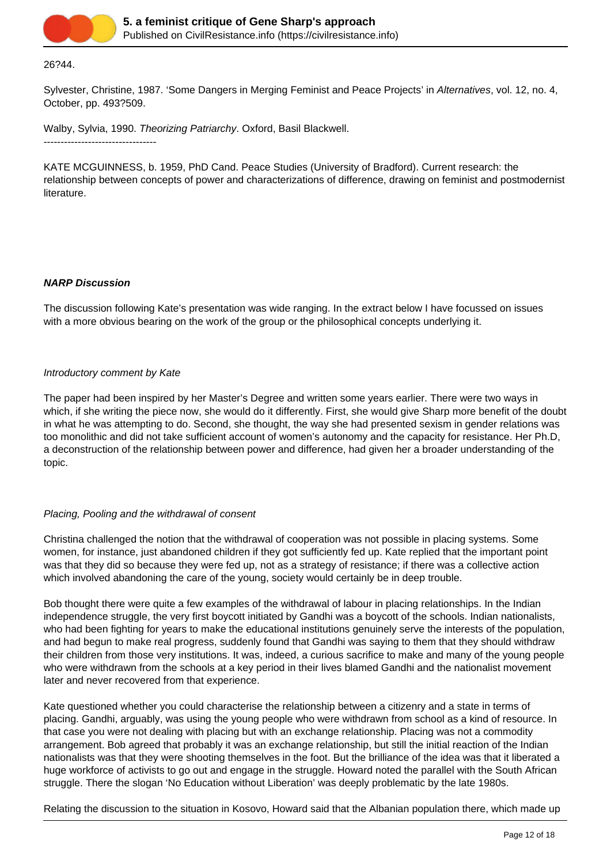

#### 26?44.

Sylvester, Christine, 1987. 'Some Dangers in Merging Feminist and Peace Projects' in Alternatives, vol. 12, no. 4, October, pp. 493?509.

Walby, Sylvia, 1990. Theorizing Patriarchy. Oxford, Basil Blackwell.

---------------------------------

KATE MCGUINNESS, b. 1959, PhD Cand. Peace Studies (University of Bradford). Current research: the relationship between concepts of power and characterizations of difference, drawing on feminist and postmodernist literature.

## **NARP Discussion**

The discussion following Kate's presentation was wide ranging. In the extract below I have focussed on issues with a more obvious bearing on the work of the group or the philosophical concepts underlying it.

# Introductory comment by Kate

The paper had been inspired by her Master's Degree and written some years earlier. There were two ways in which, if she writing the piece now, she would do it differently. First, she would give Sharp more benefit of the doubt in what he was attempting to do. Second, she thought, the way she had presented sexism in gender relations was too monolithic and did not take sufficient account of women's autonomy and the capacity for resistance. Her Ph.D, a deconstruction of the relationship between power and difference, had given her a broader understanding of the topic.

## Placing, Pooling and the withdrawal of consent

Christina challenged the notion that the withdrawal of cooperation was not possible in placing systems. Some women, for instance, just abandoned children if they got sufficiently fed up. Kate replied that the important point was that they did so because they were fed up, not as a strategy of resistance; if there was a collective action which involved abandoning the care of the young, society would certainly be in deep trouble.

Bob thought there were quite a few examples of the withdrawal of labour in placing relationships. In the Indian independence struggle, the very first boycott initiated by Gandhi was a boycott of the schools. Indian nationalists, who had been fighting for years to make the educational institutions genuinely serve the interests of the population, and had begun to make real progress, suddenly found that Gandhi was saying to them that they should withdraw their children from those very institutions. It was, indeed, a curious sacrifice to make and many of the young people who were withdrawn from the schools at a key period in their lives blamed Gandhi and the nationalist movement later and never recovered from that experience.

Kate questioned whether you could characterise the relationship between a citizenry and a state in terms of placing. Gandhi, arguably, was using the young people who were withdrawn from school as a kind of resource. In that case you were not dealing with placing but with an exchange relationship. Placing was not a commodity arrangement. Bob agreed that probably it was an exchange relationship, but still the initial reaction of the Indian nationalists was that they were shooting themselves in the foot. But the brilliance of the idea was that it liberated a huge workforce of activists to go out and engage in the struggle. Howard noted the parallel with the South African struggle. There the slogan 'No Education without Liberation' was deeply problematic by the late 1980s.

Relating the discussion to the situation in Kosovo, Howard said that the Albanian population there, which made up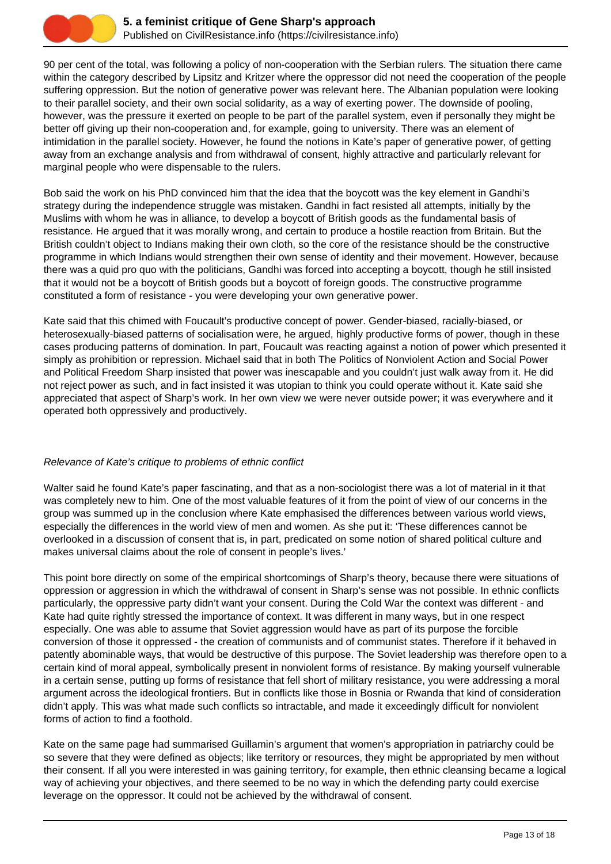

90 per cent of the total, was following a policy of non-cooperation with the Serbian rulers. The situation there came within the category described by Lipsitz and Kritzer where the oppressor did not need the cooperation of the people suffering oppression. But the notion of generative power was relevant here. The Albanian population were looking to their parallel society, and their own social solidarity, as a way of exerting power. The downside of pooling, however, was the pressure it exerted on people to be part of the parallel system, even if personally they might be better off giving up their non-cooperation and, for example, going to university. There was an element of intimidation in the parallel society. However, he found the notions in Kate's paper of generative power, of getting away from an exchange analysis and from withdrawal of consent, highly attractive and particularly relevant for marginal people who were dispensable to the rulers.

Bob said the work on his PhD convinced him that the idea that the boycott was the key element in Gandhi's strategy during the independence struggle was mistaken. Gandhi in fact resisted all attempts, initially by the Muslims with whom he was in alliance, to develop a boycott of British goods as the fundamental basis of resistance. He argued that it was morally wrong, and certain to produce a hostile reaction from Britain. But the British couldn't object to Indians making their own cloth, so the core of the resistance should be the constructive programme in which Indians would strengthen their own sense of identity and their movement. However, because there was a quid pro quo with the politicians, Gandhi was forced into accepting a boycott, though he still insisted that it would not be a boycott of British goods but a boycott of foreign goods. The constructive programme constituted a form of resistance - you were developing your own generative power.

Kate said that this chimed with Foucault's productive concept of power. Gender-biased, racially-biased, or heterosexually-biased patterns of socialisation were, he argued, highly productive forms of power, though in these cases producing patterns of domination. In part, Foucault was reacting against a notion of power which presented it simply as prohibition or repression. Michael said that in both The Politics of Nonviolent Action and Social Power and Political Freedom Sharp insisted that power was inescapable and you couldn't just walk away from it. He did not reject power as such, and in fact insisted it was utopian to think you could operate without it. Kate said she appreciated that aspect of Sharp's work. In her own view we were never outside power; it was everywhere and it operated both oppressively and productively.

## Relevance of Kate's critique to problems of ethnic conflict

Walter said he found Kate's paper fascinating, and that as a non-sociologist there was a lot of material in it that was completely new to him. One of the most valuable features of it from the point of view of our concerns in the group was summed up in the conclusion where Kate emphasised the differences between various world views, especially the differences in the world view of men and women. As she put it: 'These differences cannot be overlooked in a discussion of consent that is, in part, predicated on some notion of shared political culture and makes universal claims about the role of consent in people's lives.'

This point bore directly on some of the empirical shortcomings of Sharp's theory, because there were situations of oppression or aggression in which the withdrawal of consent in Sharp's sense was not possible. In ethnic conflicts particularly, the oppressive party didn't want your consent. During the Cold War the context was different - and Kate had quite rightly stressed the importance of context. It was different in many ways, but in one respect especially. One was able to assume that Soviet aggression would have as part of its purpose the forcible conversion of those it oppressed - the creation of communists and of communist states. Therefore if it behaved in patently abominable ways, that would be destructive of this purpose. The Soviet leadership was therefore open to a certain kind of moral appeal, symbolically present in nonviolent forms of resistance. By making yourself vulnerable in a certain sense, putting up forms of resistance that fell short of military resistance, you were addressing a moral argument across the ideological frontiers. But in conflicts like those in Bosnia or Rwanda that kind of consideration didn't apply. This was what made such conflicts so intractable, and made it exceedingly difficult for nonviolent forms of action to find a foothold.

Kate on the same page had summarised Guillamin's argument that women's appropriation in patriarchy could be so severe that they were defined as objects; like territory or resources, they might be appropriated by men without their consent. If all you were interested in was gaining territory, for example, then ethnic cleansing became a logical way of achieving your objectives, and there seemed to be no way in which the defending party could exercise leverage on the oppressor. It could not be achieved by the withdrawal of consent.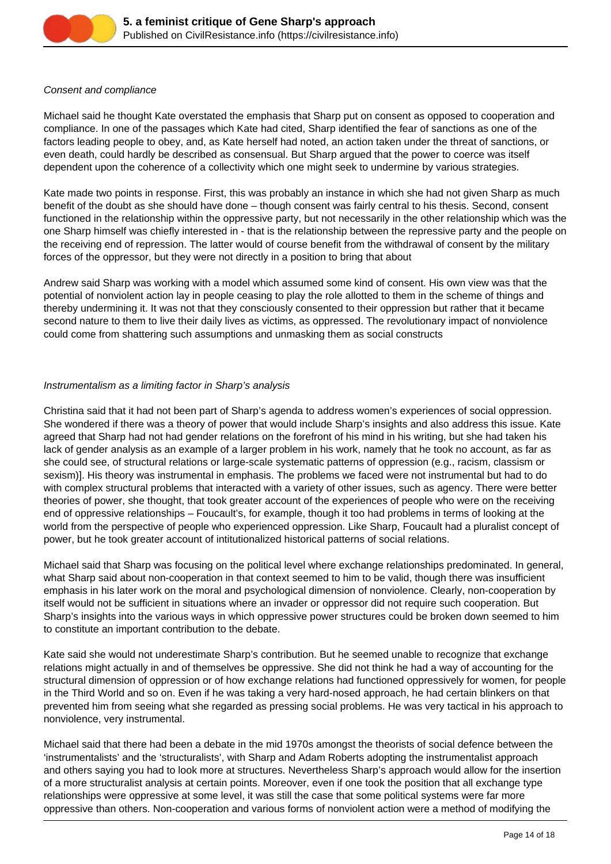

## Consent and compliance

Michael said he thought Kate overstated the emphasis that Sharp put on consent as opposed to cooperation and compliance. In one of the passages which Kate had cited, Sharp identified the fear of sanctions as one of the factors leading people to obey, and, as Kate herself had noted, an action taken under the threat of sanctions, or even death, could hardly be described as consensual. But Sharp argued that the power to coerce was itself dependent upon the coherence of a collectivity which one might seek to undermine by various strategies.

Kate made two points in response. First, this was probably an instance in which she had not given Sharp as much benefit of the doubt as she should have done – though consent was fairly central to his thesis. Second, consent functioned in the relationship within the oppressive party, but not necessarily in the other relationship which was the one Sharp himself was chiefly interested in - that is the relationship between the repressive party and the people on the receiving end of repression. The latter would of course benefit from the withdrawal of consent by the military forces of the oppressor, but they were not directly in a position to bring that about

Andrew said Sharp was working with a model which assumed some kind of consent. His own view was that the potential of nonviolent action lay in people ceasing to play the role allotted to them in the scheme of things and thereby undermining it. It was not that they consciously consented to their oppression but rather that it became second nature to them to live their daily lives as victims, as oppressed. The revolutionary impact of nonviolence could come from shattering such assumptions and unmasking them as social constructs

## Instrumentalism as a limiting factor in Sharp's analysis

Christina said that it had not been part of Sharp's agenda to address women's experiences of social oppression. She wondered if there was a theory of power that would include Sharp's insights and also address this issue. Kate agreed that Sharp had not had gender relations on the forefront of his mind in his writing, but she had taken his lack of gender analysis as an example of a larger problem in his work, namely that he took no account, as far as she could see, of structural relations or large-scale systematic patterns of oppression (e.g., racism, classism or sexism)]. His theory was instrumental in emphasis. The problems we faced were not instrumental but had to do with complex structural problems that interacted with a variety of other issues, such as agency. There were better theories of power, she thought, that took greater account of the experiences of people who were on the receiving end of oppressive relationships – Foucault's, for example, though it too had problems in terms of looking at the world from the perspective of people who experienced oppression. Like Sharp, Foucault had a pluralist concept of power, but he took greater account of intitutionalized historical patterns of social relations.

Michael said that Sharp was focusing on the political level where exchange relationships predominated. In general, what Sharp said about non-cooperation in that context seemed to him to be valid, though there was insufficient emphasis in his later work on the moral and psychological dimension of nonviolence. Clearly, non-cooperation by itself would not be sufficient in situations where an invader or oppressor did not require such cooperation. But Sharp's insights into the various ways in which oppressive power structures could be broken down seemed to him to constitute an important contribution to the debate.

Kate said she would not underestimate Sharp's contribution. But he seemed unable to recognize that exchange relations might actually in and of themselves be oppressive. She did not think he had a way of accounting for the structural dimension of oppression or of how exchange relations had functioned oppressively for women, for people in the Third World and so on. Even if he was taking a very hard-nosed approach, he had certain blinkers on that prevented him from seeing what she regarded as pressing social problems. He was very tactical in his approach to nonviolence, very instrumental.

Michael said that there had been a debate in the mid 1970s amongst the theorists of social defence between the 'instrumentalists' and the 'structuralists', with Sharp and Adam Roberts adopting the instrumentalist approach and others saying you had to look more at structures. Nevertheless Sharp's approach would allow for the insertion of a more structuralist analysis at certain points. Moreover, even if one took the position that all exchange type relationships were oppressive at some level, it was still the case that some political systems were far more oppressive than others. Non-cooperation and various forms of nonviolent action were a method of modifying the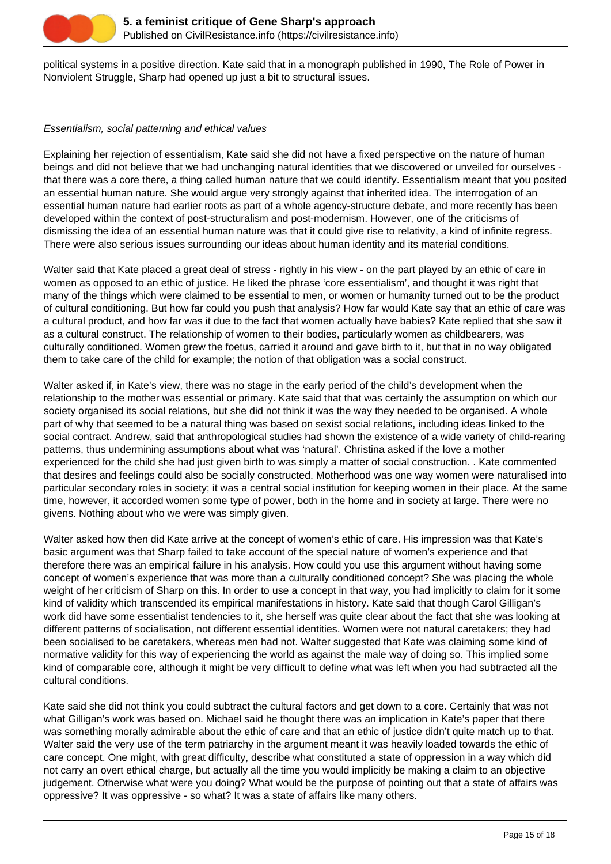

political systems in a positive direction. Kate said that in a monograph published in 1990, The Role of Power in Nonviolent Struggle, Sharp had opened up just a bit to structural issues.

#### Essentialism, social patterning and ethical values

Explaining her rejection of essentialism, Kate said she did not have a fixed perspective on the nature of human beings and did not believe that we had unchanging natural identities that we discovered or unveiled for ourselves that there was a core there, a thing called human nature that we could identify. Essentialism meant that you posited an essential human nature. She would argue very strongly against that inherited idea. The interrogation of an essential human nature had earlier roots as part of a whole agency-structure debate, and more recently has been developed within the context of post-structuralism and post-modernism. However, one of the criticisms of dismissing the idea of an essential human nature was that it could give rise to relativity, a kind of infinite regress. There were also serious issues surrounding our ideas about human identity and its material conditions.

Walter said that Kate placed a great deal of stress - rightly in his view - on the part played by an ethic of care in women as opposed to an ethic of justice. He liked the phrase 'core essentialism', and thought it was right that many of the things which were claimed to be essential to men, or women or humanity turned out to be the product of cultural conditioning. But how far could you push that analysis? How far would Kate say that an ethic of care was a cultural product, and how far was it due to the fact that women actually have babies? Kate replied that she saw it as a cultural construct. The relationship of women to their bodies, particularly women as childbearers, was culturally conditioned. Women grew the foetus, carried it around and gave birth to it, but that in no way obligated them to take care of the child for example; the notion of that obligation was a social construct.

Walter asked if, in Kate's view, there was no stage in the early period of the child's development when the relationship to the mother was essential or primary. Kate said that that was certainly the assumption on which our society organised its social relations, but she did not think it was the way they needed to be organised. A whole part of why that seemed to be a natural thing was based on sexist social relations, including ideas linked to the social contract. Andrew, said that anthropological studies had shown the existence of a wide variety of child-rearing patterns, thus undermining assumptions about what was 'natural'. Christina asked if the love a mother experienced for the child she had just given birth to was simply a matter of social construction. . Kate commented that desires and feelings could also be socially constructed. Motherhood was one way women were naturalised into particular secondary roles in society; it was a central social institution for keeping women in their place. At the same time, however, it accorded women some type of power, both in the home and in society at large. There were no givens. Nothing about who we were was simply given.

Walter asked how then did Kate arrive at the concept of women's ethic of care. His impression was that Kate's basic argument was that Sharp failed to take account of the special nature of women's experience and that therefore there was an empirical failure in his analysis. How could you use this argument without having some concept of women's experience that was more than a culturally conditioned concept? She was placing the whole weight of her criticism of Sharp on this. In order to use a concept in that way, you had implicitly to claim for it some kind of validity which transcended its empirical manifestations in history. Kate said that though Carol Gilligan's work did have some essentialist tendencies to it, she herself was quite clear about the fact that she was looking at different patterns of socialisation, not different essential identities. Women were not natural caretakers; they had been socialised to be caretakers, whereas men had not. Walter suggested that Kate was claiming some kind of normative validity for this way of experiencing the world as against the male way of doing so. This implied some kind of comparable core, although it might be very difficult to define what was left when you had subtracted all the cultural conditions.

Kate said she did not think you could subtract the cultural factors and get down to a core. Certainly that was not what Gilligan's work was based on. Michael said he thought there was an implication in Kate's paper that there was something morally admirable about the ethic of care and that an ethic of justice didn't quite match up to that. Walter said the very use of the term patriarchy in the argument meant it was heavily loaded towards the ethic of care concept. One might, with great difficulty, describe what constituted a state of oppression in a way which did not carry an overt ethical charge, but actually all the time you would implicitly be making a claim to an objective judgement. Otherwise what were you doing? What would be the purpose of pointing out that a state of affairs was oppressive? It was oppressive - so what? It was a state of affairs like many others.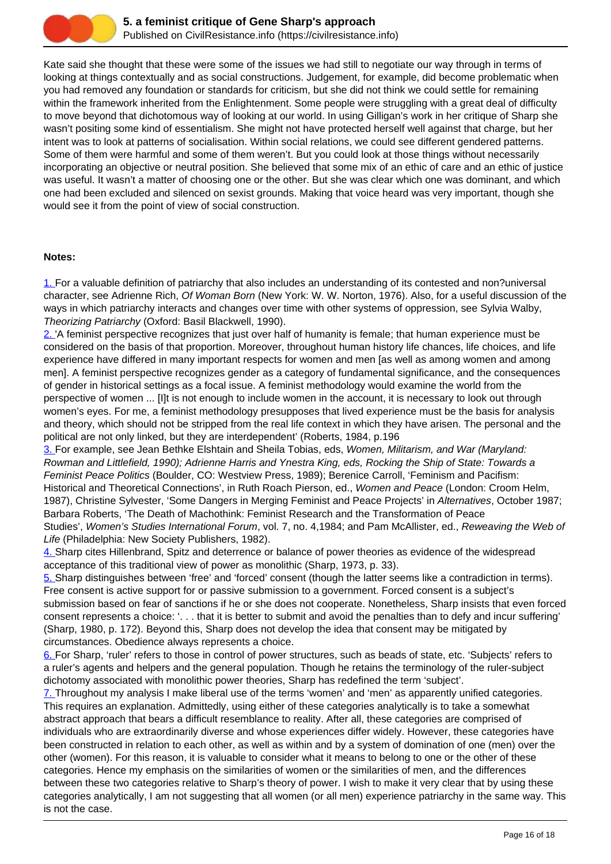

Kate said she thought that these were some of the issues we had still to negotiate our way through in terms of looking at things contextually and as social constructions. Judgement, for example, did become problematic when you had removed any foundation or standards for criticism, but she did not think we could settle for remaining within the framework inherited from the Enlightenment. Some people were struggling with a great deal of difficulty to move beyond that dichotomous way of looking at our world. In using Gilligan's work in her critique of Sharp she wasn't positing some kind of essentialism. She might not have protected herself well against that charge, but her intent was to look at patterns of socialisation. Within social relations, we could see different gendered patterns. Some of them were harmful and some of them weren't. But you could look at those things without necessarily incorporating an objective or neutral position. She believed that some mix of an ethic of care and an ethic of justice was useful. It wasn't a matter of choosing one or the other. But she was clear which one was dominant, and which one had been excluded and silenced on sexist grounds. Making that voice heard was very important, though she would see it from the point of view of social construction.

#### **Notes:**

1. For a valuable definition of patriarchy that also includes an understanding of its contested and non?universal character, see Adrienne Rich, Of Woman Born (New York: W. W. Norton, 1976). Also, for a useful discussion of the ways in which patriarchy interacts and changes over time with other systems of oppression, see Sylvia Walby, Theorizing Patriarchy (Oxford: Basil Blackwell, 1990).

2. A feminist perspective recognizes that just over half of humanity is female; that human experience must be considered on the basis of that proportion. Moreover, throughout human history life chances, life choices, and life experience have differed in many important respects for women and men [as well as among women and among men]. A feminist perspective recognizes gender as a category of fundamental significance, and the consequences of gender in historical settings as a focal issue. A feminist methodology would examine the world from the perspective of women ... [I]t is not enough to include women in the account, it is necessary to look out through women's eyes. For me, a feminist methodology presupposes that lived experience must be the basis for analysis and theory, which should not be stripped from the real life context in which they have arisen. The personal and the political are not only linked, but they are interdependent' (Roberts, 1984, p.196

3. For example, see Jean Bethke Elshtain and Sheila Tobias, eds, Women, Militarism, and War (Maryland: Rowman and Littlefield, 1990); Adrienne Harris and Ynestra King, eds, Rocking the Ship of State: Towards a Feminist Peace Politics (Boulder, CO: Westview Press, 1989); Berenice Carroll, 'Feminism and Pacifism: Historical and Theoretical Connections', in Ruth Roach Pierson, ed., Women and Peace (London: Croom Helm, 1987), Christine Sylvester, 'Some Dangers in Merging Feminist and Peace Projects' in Alternatives, October 1987; Barbara Roberts, 'The Death of Machothink: Feminist Research and the Transformation of Peace Studies', Women's Studies International Forum, vol. 7, no. 4,1984; and Pam McAllister, ed., Reweaving the Web of Life (Philadelphia: New Society Publishers, 1982).

4. Sharp cites Hillenbrand, Spitz and deterrence or balance of power theories as evidence of the widespread acceptance of this traditional view of power as monolithic (Sharp, 1973, p. 33).

5. Sharp distinguishes between 'free' and 'forced' consent (though the latter seems like a contradiction in terms). Free consent is active support for or passive submission to a government. Forced consent is a subject's submission based on fear of sanctions if he or she does not cooperate. Nonetheless, Sharp insists that even forced consent represents a choice: '. . . that it is better to submit and avoid the penalties than to defy and incur suffering' (Sharp, 1980, p. 172). Beyond this, Sharp does not develop the idea that consent may be mitigated by circumstances. Obedience always represents a choice.

6. For Sharp, 'ruler' refers to those in control of power structures, such as beads of state, etc. 'Subjects' refers to a ruler's agents and helpers and the general population. Though he retains the terminology of the ruler-subject dichotomy associated with monolithic power theories, Sharp has redefined the term 'subject'.

7. Throughout my analysis I make liberal use of the terms 'women' and 'men' as apparently unified categories. This requires an explanation. Admittedly, using either of these categories analytically is to take a somewhat abstract approach that bears a difficult resemblance to reality. After all, these categories are comprised of individuals who are extraordinarily diverse and whose experiences differ widely. However, these categories have been constructed in relation to each other, as well as within and by a system of domination of one (men) over the other (women). For this reason, it is valuable to consider what it means to belong to one or the other of these categories. Hence my emphasis on the similarities of women or the similarities of men, and the differences between these two categories relative to Sharp's theory of power. I wish to make it very clear that by using these categories analytically, I am not suggesting that all women (or all men) experience patriarchy in the same way. This is not the case.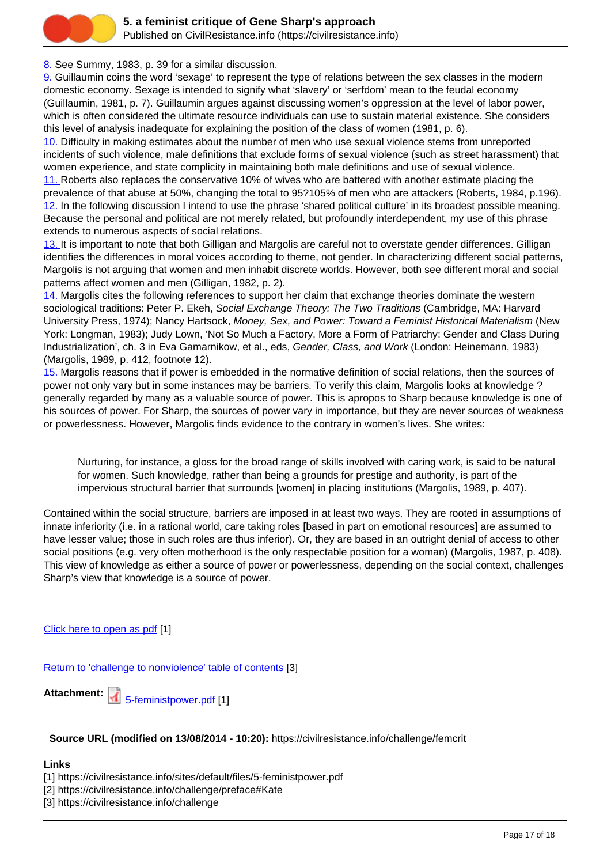

8. See Summy, 1983, p. 39 for a similar discussion.

9. Guillaumin coins the word 'sexage' to represent the type of relations between the sex classes in the modern domestic economy. Sexage is intended to signify what 'slavery' or 'serfdom' mean to the feudal economy (Guillaumin, 1981, p. 7). Guillaumin argues against discussing women's oppression at the level of labor power, which is often considered the ultimate resource individuals can use to sustain material existence. She considers this level of analysis inadequate for explaining the position of the class of women (1981, p. 6).

10. Difficulty in making estimates about the number of men who use sexual violence stems from unreported incidents of such violence, male definitions that exclude forms of sexual violence (such as street harassment) that women experience, and state complicity in maintaining both male definitions and use of sexual violence. 11. Roberts also replaces the conservative 10% of wives who are battered with another estimate placing the prevalence of that abuse at 50%, changing the total to 95?105% of men who are attackers (Roberts, 1984, p.196). 12. In the following discussion I intend to use the phrase 'shared political culture' in its broadest possible meaning. Because the personal and political are not merely related, but profoundly interdependent, my use of this phrase extends to numerous aspects of social relations.

13. It is important to note that both Gilligan and Margolis are careful not to overstate gender differences. Gilligan identifies the differences in moral voices according to theme, not gender. In characterizing different social patterns, Margolis is not arguing that women and men inhabit discrete worlds. However, both see different moral and social patterns affect women and men (Gilligan, 1982, p. 2).

14. Margolis cites the following references to support her claim that exchange theories dominate the western sociological traditions: Peter P. Ekeh, Social Exchange Theory: The Two Traditions (Cambridge, MA: Harvard University Press, 1974); Nancy Hartsock, Money, Sex, and Power: Toward a Feminist Historical Materialism (New York: Longman, 1983); Judy Lown, 'Not So Much a Factory, More a Form of Patriarchy: Gender and Class During Industrialization', ch. 3 in Eva Gamarnikow, et al., eds, Gender, Class, and Work (London: Heinemann, 1983) (Margolis, 1989, p. 412, footnote 12).

15. Margolis reasons that if power is embedded in the normative definition of social relations, then the sources of power not only vary but in some instances may be barriers. To verify this claim, Margolis looks at knowledge ? generally regarded by many as a valuable source of power. This is apropos to Sharp because knowledge is one of his sources of power. For Sharp, the sources of power vary in importance, but they are never sources of weakness or powerlessness. However, Margolis finds evidence to the contrary in women's lives. She writes:

Nurturing, for instance, a gloss for the broad range of skills involved with caring work, is said to be natural for women. Such knowledge, rather than being a grounds for prestige and authority, is part of the impervious structural barrier that surrounds [women] in placing institutions (Margolis, 1989, p. 407).

Contained within the social structure, barriers are imposed in at least two ways. They are rooted in assumptions of innate inferiority (i.e. in a rational world, care taking roles [based in part on emotional resources] are assumed to have lesser value; those in such roles are thus inferior). Or, they are based in an outright denial of access to other social positions (e.g. very often motherhood is the only respectable position for a woman) (Margolis, 1987, p. 408). This view of knowledge as either a source of power or powerlessness, depending on the social context, challenges Sharp's view that knowledge is a source of power.

[Click here to open as pdf](https://civilresistance.info/sites/default/files/5-feministpower.pdf) [1]

[Return to 'challenge to nonviolence' table of contents](https://civilresistance.info/challenge) [3]

Attachment: **1** [5-feministpower.pdf](https://civilresistance.info/sites/default/files/5-feministpower.pdf) [1]

## **Source URL (modified on 13/08/2014 - 10:20):** https://civilresistance.info/challenge/femcrit

## **Links**

- [1] https://civilresistance.info/sites/default/files/5-feministpower.pdf
- [2] https://civilresistance.info/challenge/preface#Kate
- [3] https://civilresistance.info/challenge